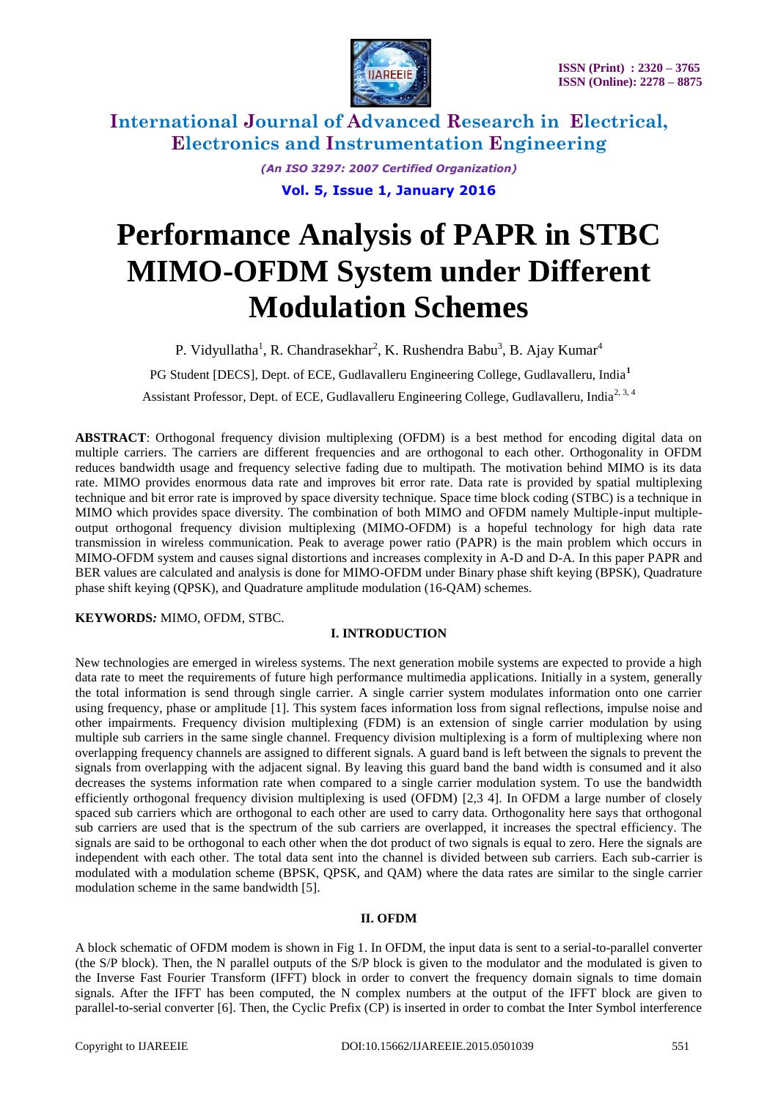

> *(An ISO 3297: 2007 Certified Organization)* **Vol. 5, Issue 1, January 2016**

# **Performance Analysis of PAPR in STBC MIMO-OFDM System under Different Modulation Schemes**

P. Vidyullatha<sup>1</sup>, R. Chandrasekhar<sup>2</sup>, K. Rushendra Babu<sup>3</sup>, B. Ajay Kumar<sup>4</sup>

PG Student [DECS], Dept. of ECE, Gudlavalleru Engineering College, Gudlavalleru, India**<sup>1</sup>**

Assistant Professor, Dept. of ECE, Gudlavalleru Engineering College, Gudlavalleru, India<sup>2, 3, 4</sup>

**ABSTRACT**: Orthogonal frequency division multiplexing (OFDM) is a best method for encoding digital data on multiple carriers. The carriers are different frequencies and are orthogonal to each other. Orthogonality in OFDM reduces bandwidth usage and frequency selective fading due to multipath. The motivation behind MIMO is its data rate. MIMO provides enormous data rate and improves bit error rate. Data rate is provided by spatial multiplexing technique and bit error rate is improved by space diversity technique. Space time block coding (STBC) is a technique in MIMO which provides space diversity. The combination of both MIMO and OFDM namely Multiple-input multipleoutput orthogonal frequency division multiplexing (MIMO-OFDM) is a hopeful technology for high data rate transmission in wireless communication. Peak to average power ratio (PAPR) is the main problem which occurs in MIMO-OFDM system and causes signal distortions and increases complexity in A-D and D-A. In this paper PAPR and BER values are calculated and analysis is done for MIMO-OFDM under Binary phase shift keying (BPSK), Quadrature phase shift keying (QPSK), and Quadrature amplitude modulation (16-QAM) schemes.

**KEYWORDS***:* MIMO, OFDM, STBC.

### **I. INTRODUCTION**

New technologies are emerged in wireless systems. The next generation mobile systems are expected to provide a high data rate to meet the requirements of future high performance multimedia applications. Initially in a system, generally the total information is send through single carrier. A single carrier system modulates information onto one carrier using frequency, phase or amplitude [1]. This system faces information loss from signal reflections, impulse noise and other impairments. Frequency division multiplexing (FDM) is an extension of single carrier modulation by using multiple sub carriers in the same single channel. Frequency division multiplexing is a form of multiplexing where non overlapping frequency channels are assigned to different signals. A guard band is left between the signals to prevent the signals from overlapping with the adjacent signal. By leaving this guard band the band width is consumed and it also decreases the systems information rate when compared to a single carrier modulation system. To use the bandwidth efficiently orthogonal frequency division multiplexing is used (OFDM) [2,3 4]. In OFDM a large number of closely spaced sub carriers which are orthogonal to each other are used to carry data. Orthogonality here says that orthogonal sub carriers are used that is the spectrum of the sub carriers are overlapped, it increases the spectral efficiency. The signals are said to be orthogonal to each other when the dot product of two signals is equal to zero. Here the signals are independent with each other. The total data sent into the channel is divided between sub carriers. Each sub-carrier is modulated with a modulation scheme (BPSK, QPSK, and QAM) where the data rates are similar to the single carrier modulation scheme in the same bandwidth [5].

### **II. OFDM**

A block schematic of OFDM modem is shown in Fig 1. In OFDM, the input data is sent to a serial-to-parallel converter (the S/P block). Then, the N parallel outputs of the S/P block is given to the modulator and the modulated is given to the Inverse Fast Fourier Transform (IFFT) block in order to convert the frequency domain signals to time domain signals. After the IFFT has been computed, the N complex numbers at the output of the IFFT block are given to parallel-to-serial converter [6]. Then, the Cyclic Prefix (CP) is inserted in order to combat the Inter Symbol interference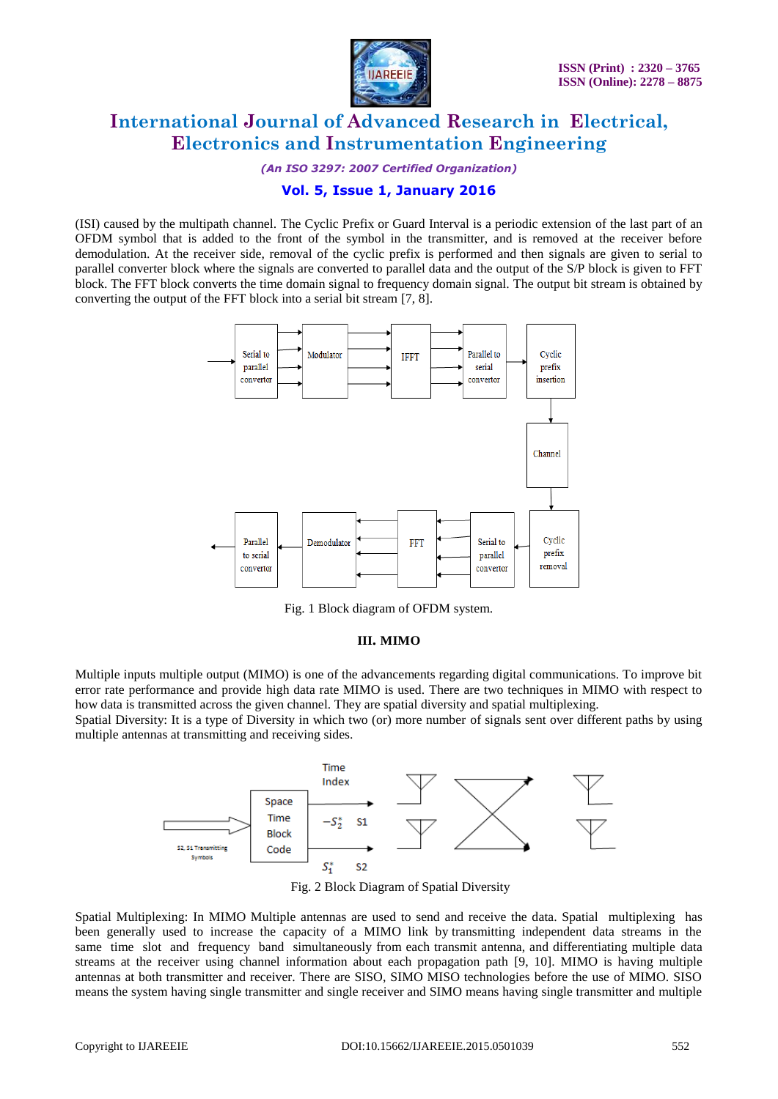

*(An ISO 3297: 2007 Certified Organization)*

### **Vol. 5, Issue 1, January 2016**

(ISI) caused by the multipath channel. The Cyclic Prefix or Guard Interval is a periodic extension of the last part of an OFDM symbol that is added to the front of the symbol in the transmitter, and is removed at the receiver before demodulation. At the receiver side, removal of the cyclic prefix is performed and then signals are given to serial to parallel converter block where the signals are converted to parallel data and the output of the S/P block is given to FFT block. The FFT block converts the time domain signal to frequency domain signal. The output bit stream is obtained by converting the output of the FFT block into a serial bit stream [7, 8].



Fig. 1 Block diagram of OFDM system.

### **III. MIMO**

Multiple inputs multiple output (MIMO) is one of the advancements regarding digital communications. To improve bit error rate performance and provide high data rate MIMO is used. There are two techniques in MIMO with respect to how data is transmitted across the given channel. They are spatial diversity and spatial multiplexing.

Spatial Diversity: It is a type of Diversity in which two (or) more number of signals sent over different paths by using multiple antennas at transmitting and receiving sides.



Fig. 2 Block Diagram of Spatial Diversity

Spatial Multiplexing: In MIMO Multiple antennas are used to send and receive the data. Spatial multiplexing has been generally used to increase the capacity of a MIMO link by transmitting independent data streams in the same time slot and frequency band simultaneously from each transmit antenna, and differentiating multiple data streams at the receiver using channel information about each propagation path [9, 10]. MIMO is having multiple antennas at both transmitter and receiver. There are SISO, SIMO MISO technologies before the use of MIMO. SISO means the system having single transmitter and single receiver and SIMO means having single transmitter and multiple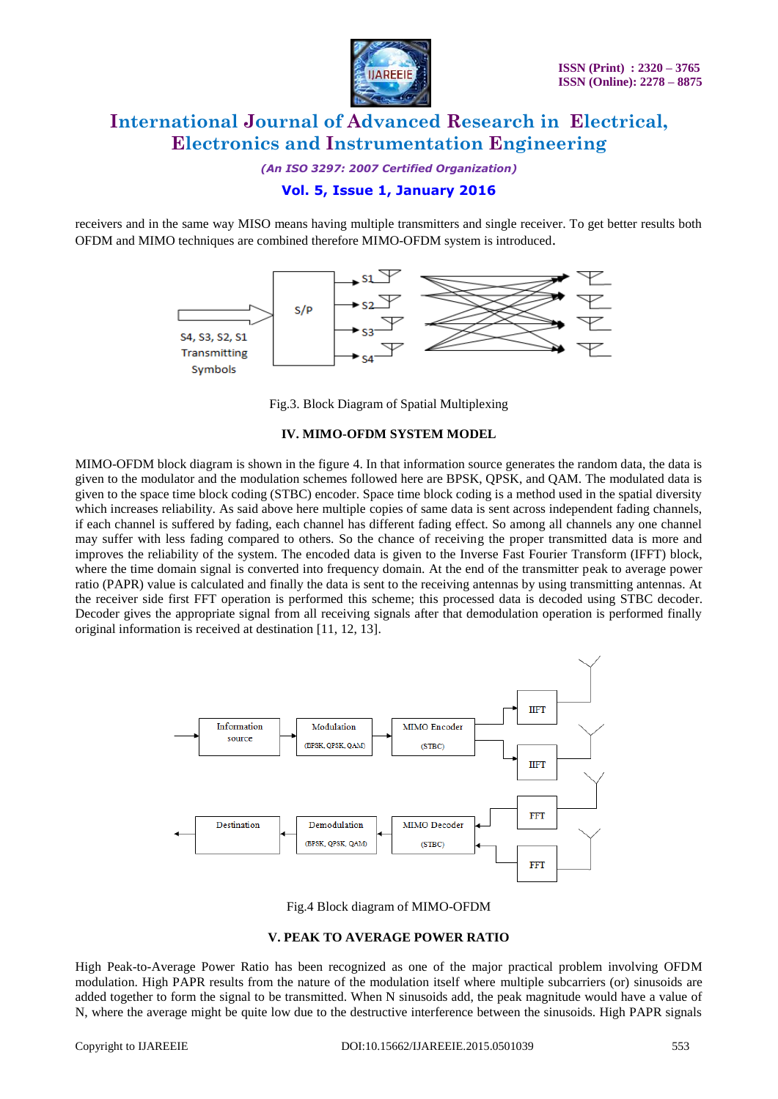

*(An ISO 3297: 2007 Certified Organization)*

### **Vol. 5, Issue 1, January 2016**

receivers and in the same way MISO means having multiple transmitters and single receiver. To get better results both OFDM and MIMO techniques are combined therefore MIMO-OFDM system is introduced.



Fig.3. Block Diagram of Spatial Multiplexing

### **IV. MIMO-OFDM SYSTEM MODEL**

MIMO-OFDM block diagram is shown in the figure 4. In that information source generates the random data, the data is given to the modulator and the modulation schemes followed here are BPSK, QPSK, and QAM. The modulated data is given to the space time block coding (STBC) encoder. Space time block coding is a method used in the spatial diversity which increases reliability. As said above here multiple copies of same data is sent across independent fading channels, if each channel is suffered by fading, each channel has different fading effect. So among all channels any one channel may suffer with less fading compared to others. So the chance of receiving the proper transmitted data is more and improves the reliability of the system. The encoded data is given to the Inverse Fast Fourier Transform (IFFT) block, where the time domain signal is converted into frequency domain. At the end of the transmitter peak to average power ratio (PAPR) value is calculated and finally the data is sent to the receiving antennas by using transmitting antennas. At the receiver side first FFT operation is performed this scheme; this processed data is decoded using STBC decoder. Decoder gives the appropriate signal from all receiving signals after that demodulation operation is performed finally original information is received at destination [11, 12, 13].



Fig.4 Block diagram of MIMO-OFDM

### **V. PEAK TO AVERAGE POWER RATIO**

High Peak-to-Average Power Ratio has been recognized as one of the major practical problem involving OFDM modulation. High PAPR results from the nature of the modulation itself where multiple subcarriers (or) sinusoids are added together to form the signal to be transmitted. When N sinusoids add, the peak magnitude would have a value of N, where the average might be quite low due to the destructive interference between the sinusoids. High PAPR signals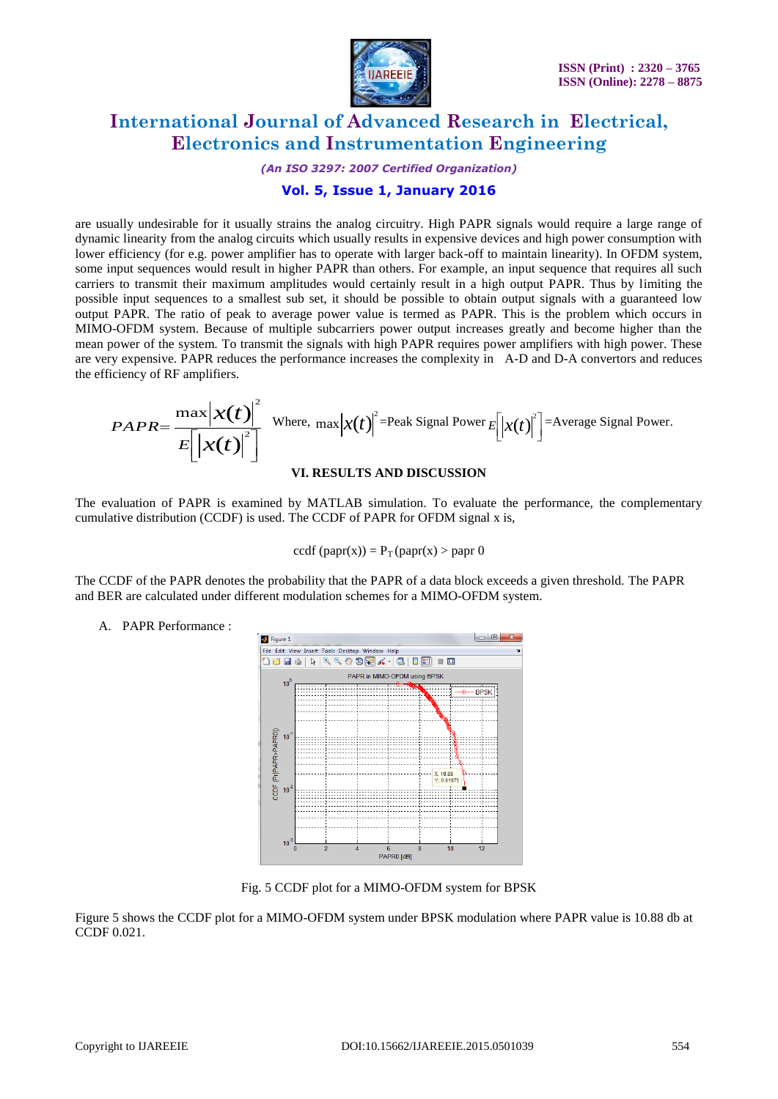

*(An ISO 3297: 2007 Certified Organization)*

### **Vol. 5, Issue 1, January 2016**

are usually undesirable for it usually strains the analog circuitry. High PAPR signals would require a large range of dynamic linearity from the analog circuits which usually results in expensive devices and high power consumption with lower efficiency (for e.g. power amplifier has to operate with larger back-off to maintain linearity). In OFDM system, some input sequences would result in higher PAPR than others. For example, an input sequence that requires all such carriers to transmit their maximum amplitudes would certainly result in a high output PAPR. Thus by limiting the possible input sequences to a smallest sub set, it should be possible to obtain output signals with a guaranteed low output PAPR. The ratio of peak to average power value is termed as PAPR. This is the problem which occurs in MIMO-OFDM system. Because of multiple subcarriers power output increases greatly and become higher than the mean power of the system. To transmit the signals with high PAPR requires power amplifiers with high power. These are very expensive. PAPR reduces the performance increases the complexity in A-D and D-A convertors and reduces the efficiency of RF amplifiers.

$$
PAPR = \frac{\max |\mathbf{x}(t)|^2}{E[|\mathbf{x}(t)|^2]}
$$
 Where, max  $|\mathbf{x}(t)|^2$  = Peak Signal Power  $E[|\mathbf{x}(t)|^2]$  = Average Signal Power.

### **VI. RESULTS AND DISCUSSION**

The evaluation of PAPR is examined by MATLAB simulation. To evaluate the performance, the complementary cumulative distribution (CCDF) is used. The CCDF of PAPR for OFDM signal x is,

$$
ccdf (papr(x)) = PT (papr(x) > papr 0
$$

The CCDF of the PAPR denotes the probability that the PAPR of a data block exceeds a given threshold. The PAPR and BER are calculated under different modulation schemes for a MIMO-OFDM system.

A. PAPR Performance :



Fig. 5 CCDF plot for a MIMO-OFDM system for BPSK

Figure 5 shows the CCDF plot for a MIMO-OFDM system under BPSK modulation where PAPR value is 10.88 db at CCDF 0.021.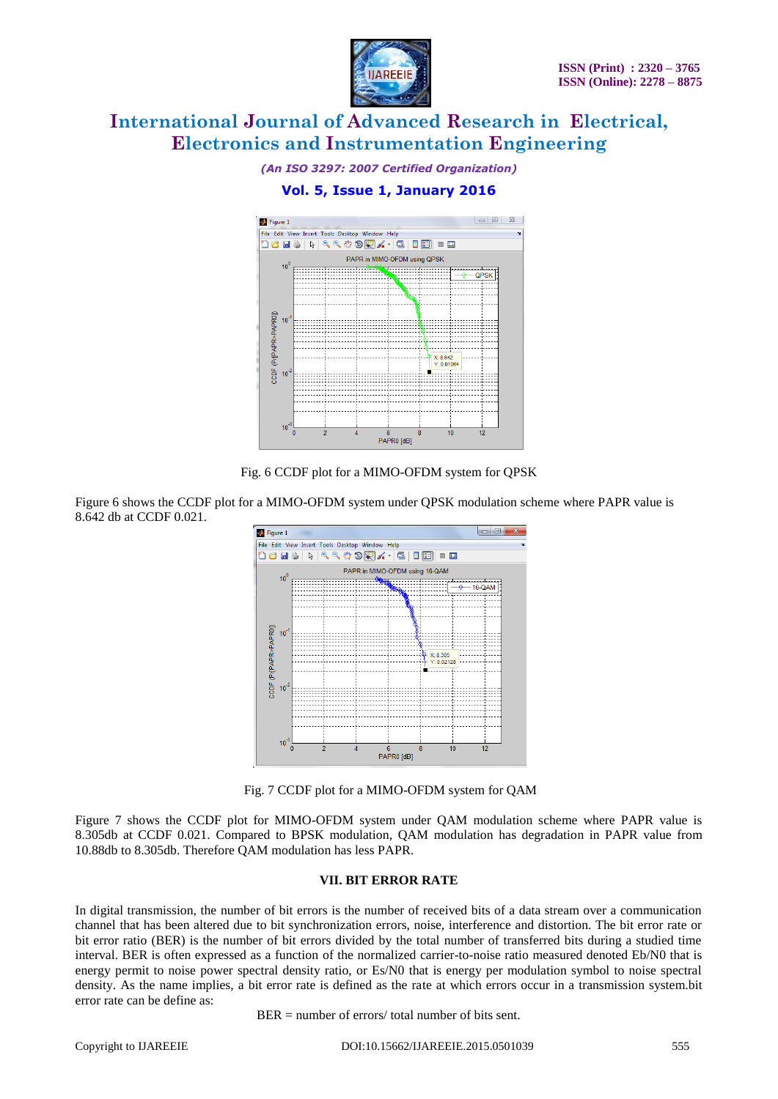

*(An ISO 3297: 2007 Certified Organization)*

### **Vol. 5, Issue 1, January 2016**



Fig. 6 CCDF plot for a MIMO-OFDM system for QPSK

Figure 6 shows the CCDF plot for a MIMO-OFDM system under QPSK modulation scheme where PAPR value is 8.642 db at CCDF 0.021.



Fig. 7 CCDF plot for a MIMO-OFDM system for QAM

Figure 7 shows the CCDF plot for MIMO-OFDM system under QAM modulation scheme where PAPR value is 8.305db at CCDF 0.021. Compared to BPSK modulation, QAM modulation has degradation in PAPR value from 10.88db to 8.305db. Therefore QAM modulation has less PAPR.

### **VII. BIT ERROR RATE**

In digital transmission, the number of bit errors is the number of received bits of a data stream over a communication channel that has been altered due to bit synchronization errors, noise, interference and distortion. The bit error rate or bit error ratio (BER) is the number of bit errors divided by the total number of transferred bits during a studied time interval. BER is often expressed as a function of the normalized carrier-to-noise ratio measured denoted Eb/N0 that is energy permit to noise power spectral density ratio, or Es/N0 that is energy per modulation symbol to noise spectral density. As the name implies, a bit error rate is defined as the rate at which errors occur in a transmission system.bit error rate can be define as:

 $BER = number of errors/ total number of bits sent.$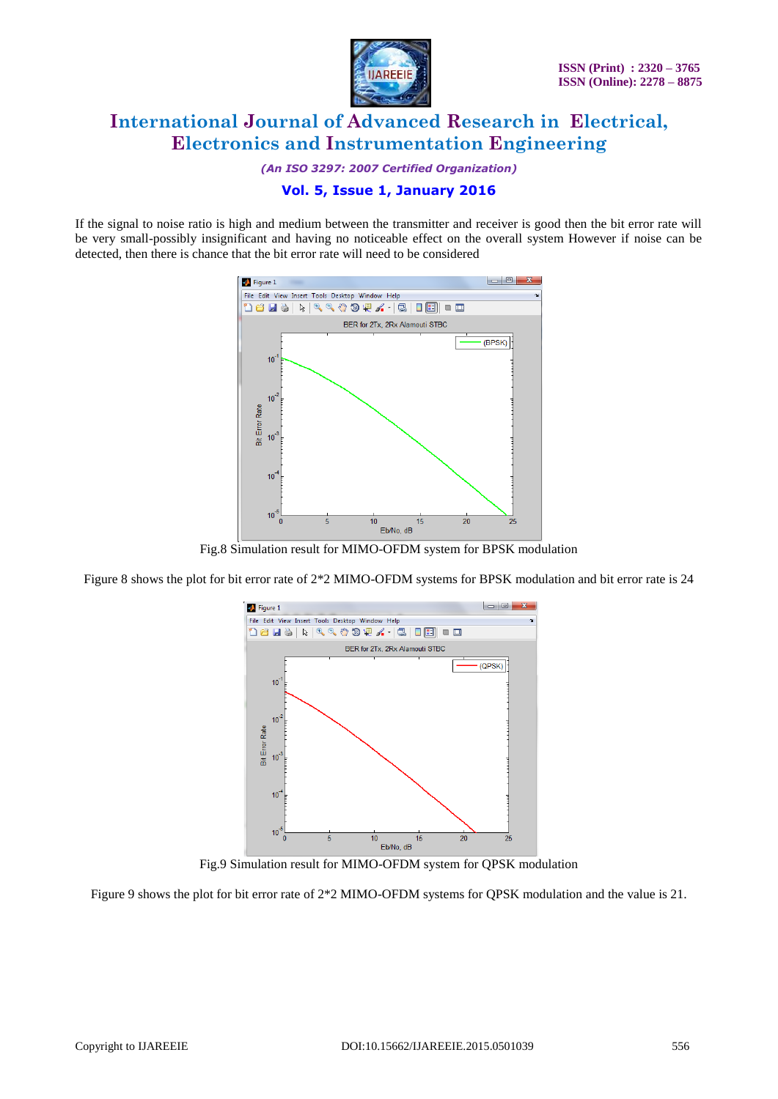

*(An ISO 3297: 2007 Certified Organization)*

### **Vol. 5, Issue 1, January 2016**

If the signal to noise ratio is high and medium between the transmitter and receiver is good then the bit error rate will be very small-possibly insignificant and having no noticeable effect on the overall system However if noise can be detected, then there is chance that the bit error rate will need to be considered



Fig.8 Simulation result for MIMO-OFDM system for BPSK modulation

Figure 8 shows the plot for bit error rate of 2\*2 MIMO-OFDM systems for BPSK modulation and bit error rate is 24



Fig.9 Simulation result for MIMO-OFDM system for QPSK modulation

Figure 9 shows the plot for bit error rate of 2\*2 MIMO-OFDM systems for QPSK modulation and the value is 21.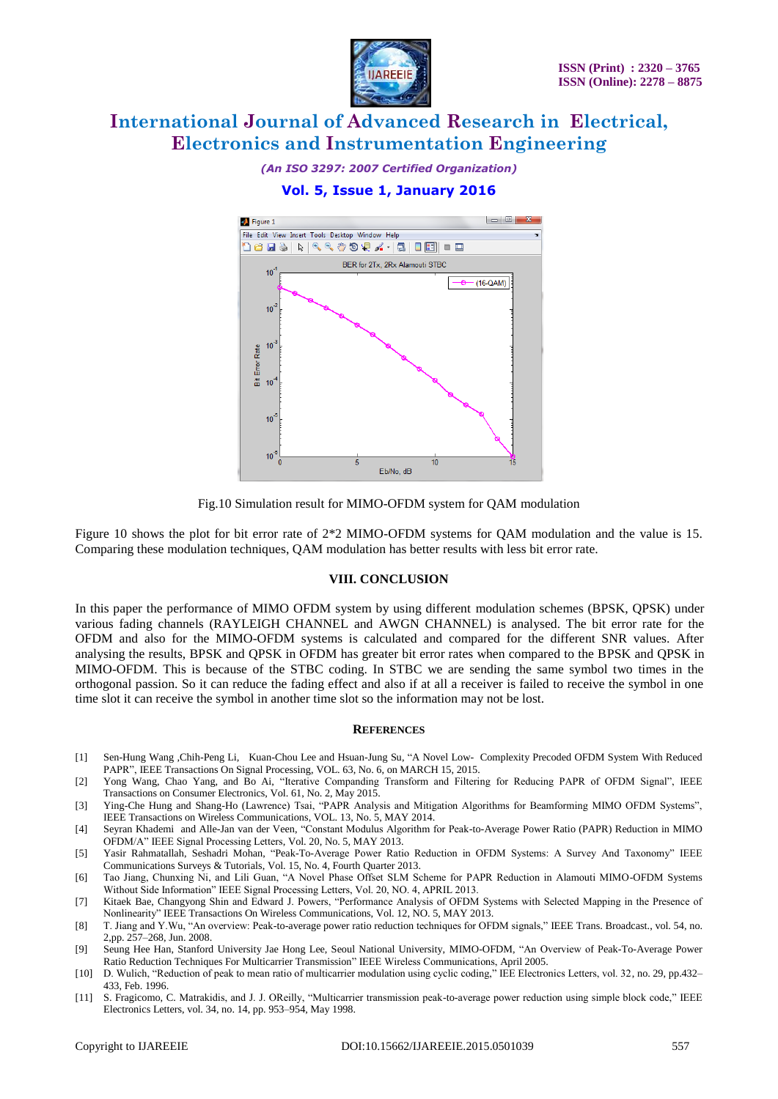

*(An ISO 3297: 2007 Certified Organization)*

### **Vol. 5, Issue 1, January 2016**



Fig.10 Simulation result for MIMO-OFDM system for QAM modulation

Figure 10 shows the plot for bit error rate of 2\*2 MIMO-OFDM systems for QAM modulation and the value is 15. Comparing these modulation techniques, QAM modulation has better results with less bit error rate.

### **VIII. CONCLUSION**

In this paper the performance of MIMO OFDM system by using different modulation schemes (BPSK, QPSK) under various fading channels (RAYLEIGH CHANNEL and AWGN CHANNEL) is analysed. The bit error rate for the OFDM and also for the MIMO-OFDM systems is calculated and compared for the different SNR values. After analysing the results, BPSK and QPSK in OFDM has greater bit error rates when compared to the BPSK and QPSK in MIMO-OFDM. This is because of the STBC coding. In STBC we are sending the same symbol two times in the orthogonal passion. So it can reduce the fading effect and also if at all a receiver is failed to receive the symbol in one time slot it can receive the symbol in another time slot so the information may not be lost.

#### **REFERENCES**

- [1] Sen-Hung Wang *,*Chih-Peng Li*,* Kuan-Chou Lee and Hsuan-Jung Su, "A Novel Low- Complexity Precoded OFDM System With Reduced PAPR", IEEE Transactions On Signal Processing, VOL. 63, No. 6, on MARCH 15, 2015.
- [2] Yong Wang, Chao Yang, and Bo Ai, "Iterative Companding Transform and Filtering for Reducing PAPR of OFDM Signal", IEEE Transactions on Consumer Electronics, Vol. 61, No. 2, May 2015.
- [3] Ying-Che Hung and Shang-Ho (Lawrence) Tsai, "PAPR Analysis and Mitigation Algorithms for Beamforming MIMO OFDM Systems", IEEE Transactions on Wireless Communications, VOL. 13, No. 5, MAY 2014.
- [4] Seyran Khademi and Alle-Jan van der Veen, "Constant Modulus Algorithm for Peak-to-Average Power Ratio (PAPR) Reduction in MIMO OFDM/A" IEEE Signal Processing Letters, Vol. 20, No. 5, MAY 2013.
- [5] Yasir Rahmatallah, Seshadri Mohan, "Peak-To-Average Power Ratio Reduction in OFDM Systems: A Survey And Taxonomy" IEEE Communications Surveys & Tutorials, Vol. 15, No. 4, Fourth Quarter 2013.
- [6] Tao Jiang, Chunxing Ni, and Lili Guan, "A Novel Phase Offset SLM Scheme for PAPR Reduction in Alamouti MIMO-OFDM Systems Without Side Information" IEEE Signal Processing Letters, Vol. 20, NO. 4, APRIL 2013.
- [7] Kitaek Bae, Changyong Shin and Edward J. Powers, "Performance Analysis of OFDM Systems with Selected Mapping in the Presence of Nonlinearity" IEEE Transactions On Wireless Communications, Vol. 12, NO. 5, MAY 2013.
- [8] T. Jiang and Y.Wu, "An overview: Peak-to-average power ratio reduction techniques for OFDM signals," IEEE Trans. Broadcast., vol. 54, no. 2,pp. 257–268, Jun. 2008.
- [9] Seung Hee Han, Stanford University Jae Hong Lee, Seoul National University, MIMO-OFDM, "An Overview of Peak-To-Average Power Ratio Reduction Techniques For Multicarrier Transmission" IEEE Wireless Communications, April 2005.
- [10] D. Wulich, "Reduction of peak to mean ratio of multicarrier modulation using cyclic coding," IEE Electronics Letters, vol. 32, no. 29, pp.432– 433, Feb. 1996.
- [11] S. Fragicomo, C. Matrakidis, and J. J. OReilly, "Multicarrier transmission peak-to-average power reduction using simple block code," IEEE Electronics Letters, vol. 34, no. 14, pp. 953–954, May 1998.